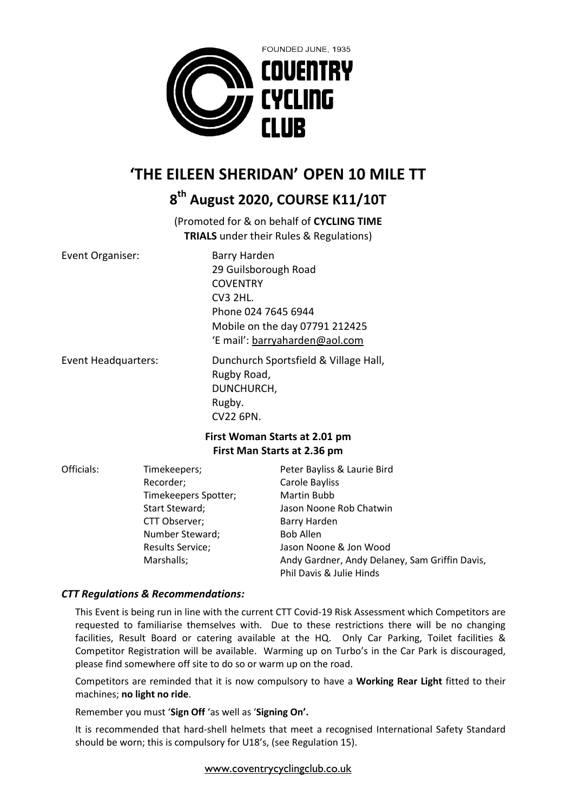

# **'THE EILEEN SHERIDAN' OPEN 10 MILE TT**

## **8 th August 2020, COURSE K11/10T**

(Promoted for & on behalf of **CYCLING TIME TRIALS** under their Rules & Regulations)

| Event Organiser:                     | Barry Harden                                                                                                                                                                                                                   |
|--------------------------------------|--------------------------------------------------------------------------------------------------------------------------------------------------------------------------------------------------------------------------------|
|                                      | 29 Guilsborough Road                                                                                                                                                                                                           |
|                                      | <b>COVENTRY</b>                                                                                                                                                                                                                |
|                                      | <b>CV3 2HL.</b>                                                                                                                                                                                                                |
|                                      | Phone 024 7645 6944                                                                                                                                                                                                            |
|                                      | Mobile on the day 07791 212425                                                                                                                                                                                                 |
|                                      | 'E mail': barryaharden@aol.com                                                                                                                                                                                                 |
| En la constitución de la consecución | Britan de la construcción de la provincia de la construcción de la construcción de la construcción de la construcción de la construcción de la construcción de la construcción de la construcción de la construcción de la con |

Event Headquarters: Dunchurch Sportsfield & Village Hall, Rugby Road, DUNCHURCH, Rugby. CV22 6PN.

### **First Woman Starts at 2.01 pm First Man Starts at 2.36 pm**

| Officials: | Timekeepers;            | Peter Bayliss & Laurie Bird                    |
|------------|-------------------------|------------------------------------------------|
|            | Recorder;               | Carole Bayliss                                 |
|            | Timekeepers Spotter;    | Martin Bubb                                    |
|            | Start Steward;          | Jason Noone Rob Chatwin                        |
|            | CTT Observer;           | Barry Harden                                   |
|            | Number Steward;         | <b>Bob Allen</b>                               |
|            | <b>Results Service;</b> | Jason Noone & Jon Wood                         |
|            | Marshalls;              | Andy Gardner, Andy Delaney, Sam Griffin Davis, |
|            |                         | Phil Davis & Julie Hinds                       |

## *CTT Regulations & Recommendations:*

This Event is being run in line with the current CTT Covid-19 Risk Assessment which Competitors are requested to familiarise themselves with. Due to these restrictions there will be no changing facilities, Result Board or catering available at the HQ. Only Car Parking, Toilet facilities & Competitor Registration will be available. Warming up on Turbo's in the Car Park is discouraged, please find somewhere off site to do so or warm up on the road.

Competitors are reminded that it is now compulsory to have a **Working Rear Light** fitted to their machines; **no light no ride**.

Remember you must '**Sign Off** 'as well as '**Signing On'.**

It is recommended that hard-shell helmets that meet a recognised International Safety Standard should be worn; this is compulsory for U18's, (see Regulation 15).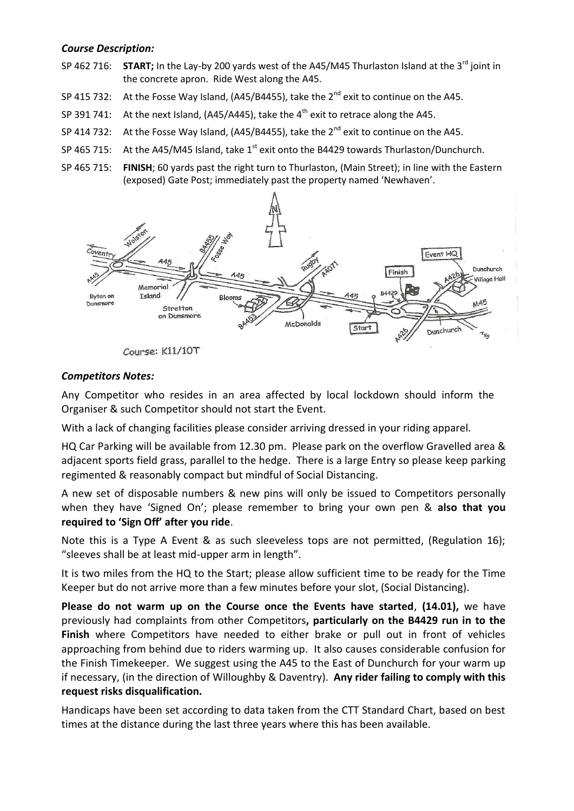#### *Course Description:*

- SP 462 716: **START;** In the Lay-by 200 yards west of the A45/M45 Thurlaston Island at the 3<sup>rd</sup> joint in the concrete apron. Ride West along the A45.
- SP 415 732: At the Fosse Way Island, (A45/B4455), take the  $2^{nd}$  exit to continue on the A45.
- SP 391 741: At the next Island, (A45/A445), take the  $4<sup>th</sup>$  exit to retrace along the A45.
- SP 414 732: At the Fosse Way Island, (A45/B4455), take the  $2^{nd}$  exit to continue on the A45.
- SP 465 715: At the A45/M45 Island, take  $1<sup>st</sup>$  exit onto the B4429 towards Thurlaston/Dunchurch.
- SP 465 715: **FINISH**; 60 yards past the right turn to Thurlaston, (Main Street); in line with the Eastern (exposed) Gate Post; immediately past the property named 'Newhaven'.



Course: K11/10T

#### *Competitors Notes:*

Any Competitor who resides in an area affected by local lockdown should inform the Organiser & such Competitor should not start the Event.

With a lack of changing facilities please consider arriving dressed in your riding apparel.

HQ Car Parking will be available from 12.30 pm. Please park on the overflow Gravelled area & adjacent sports field grass, parallel to the hedge. There is a large Entry so please keep parking regimented & reasonably compact but mindful of Social Distancing.

A new set of disposable numbers & new pins will only be issued to Competitors personally when they have 'Signed On'; please remember to bring your own pen & **also that you required to 'Sign Off' after you ride**.

Note this is a Type A Event & as such sleeveless tops are not permitted, (Regulation 16); "sleeves shall be at least mid-upper arm in length".

It is two miles from the HQ to the Start; please allow sufficient time to be ready for the Time Keeper but do not arrive more than a few minutes before your slot, (Social Distancing).

**Please do not warm up on the Course once the Events have started**, **(14.01),** we have previously had complaints from other Competitors**, particularly on the B4429 run in to the Finish** where Competitors have needed to either brake or pull out in front of vehicles approaching from behind due to riders warming up. It also causes considerable confusion for the Finish Timekeeper. We suggest using the A45 to the East of Dunchurch for your warm up if necessary, (in the direction of Willoughby & Daventry). **Any rider failing to comply with this request risks disqualification.**

Handicaps have been set according to data taken from the CTT Standard Chart, based on best times at the distance during the last three years where this has been available.